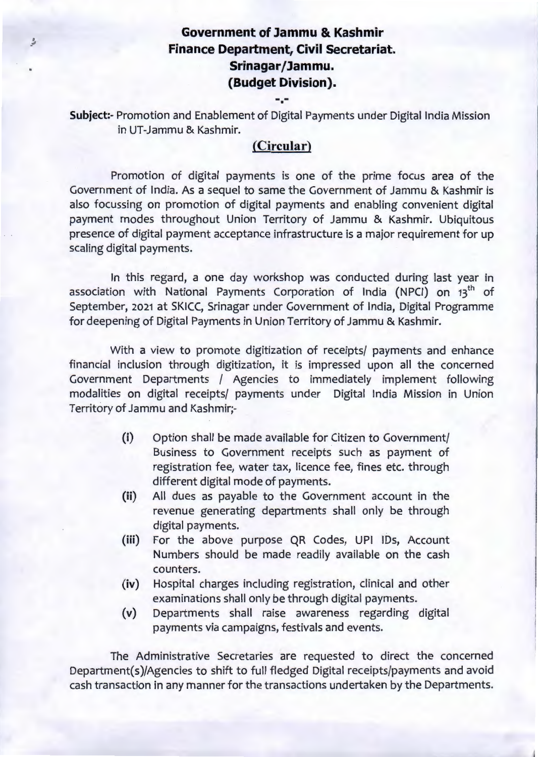## **Government of Jammu & Kashmir Finance Department, Civil Secretariat.**  Srinagar/Jammu. **(Budget Division).**

**Subject:-** Promotion and Enablement of Digital Payments under Digital India Mission in UT-Jammu & Kashmir.

۰.

## **(Circular)**

Promotion of digital payments is one of the prime focus area of the Government of India. As a sequel to same the Government of Jammu & Kashmir is also focussing on promotion of digital payments and enabling convenient digital payment modes throughout Union Territory of Jammu & Kashmir. Ubiquitous presence of digital payment acceptance infrastructure is a major requirement for up scaling digital payments.

In this regard, a one day workshop was conducted during last year in association with National Payments Corporation of India (NPCI) on 13<sup>th</sup> of September, 2021 at SKICC, Srinagar under Government of India, Digital Programme for deepening of Digital Payments in Union Territory of Jammu & Kashmir.

With a view to promote digitization of receipts/ payments and enhance financial inclusion through digitization, it is impressed upon all the concerned Government Departments / Agencies to immediately implement following modalities on digital receipts/ payments under Digital India Mission in Union Territory of Jammu and Kashmir;-

- (i) Option shall be made available for Citizen to Government/ Business to Government receipts such as payment of registration fee, water tax, licence fee, fines etc. through different digital mode of payments.
- **(ii)** All dues as payable to the Government account in the revenue generating departments shall only be through digital payments.
- (iii) For the above purpose QR Codes, UPI IDs, Account Numbers should be made readily available on the cash counters.
- **{iv)** Hospital charges including registration, clinical and other examinations shall only be through digital payments.
- (v) Departments shall raise awareness regarding digital payments via campaigns, festivals and events.

The Administrative Secretaries are requested to direct the concerned Department(s)/Agencies to shift to full fledged Digital receipts/payments and avoid cash transaction in any manner for the transactions undertaken by the Departments.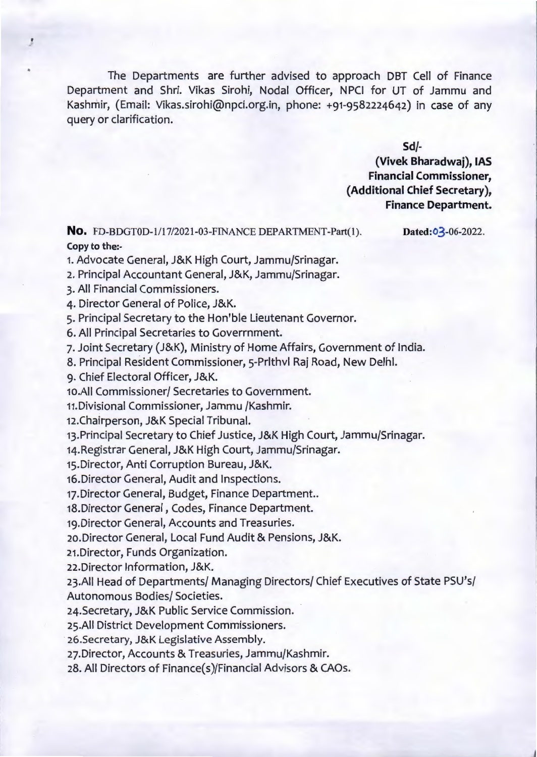The Departments are further advised to approach DBT Cell of Finance Department and Shri. Vikas Sirohi, Nodal Officer, NPCI for UT of Jammu and Kashmir, (Email: Vikas.sirohi@npci.org.in, phone: +91-9582224642) in case of any query or clarification.

**Sd/-**

**(Vivek Bharadwaj), IAS Financial Commissioner, (Additional Chief Secretary), Finance Department.** 

**No.** FD-BDGTOD-1/17/2021-03-FINANCE DEPARTMENT-Part(l). Copy to the:-

Dated:03-06-2022.

 $\sim$ 

, '

1. Advocate General, J&K High Court, Jammu/Srinagar.

2. Principal Accountant General, J&K, Jammu/Srinagar.

3. All Financial Commissioners.

4. Director General of Police, J&K.

5. Principal Secretary to the Hon'ble Lieutenant Governor.

6. All Principal Secretaries to Goverrnment.

7. Joint Secretary (J&K), Ministry of Home Affairs, Government of India.

8. Principal Resident Commissioner, 5-Prlthvl Raj Road, New Deihl.

9. Chief Electoral Officer, J&K.

10.AII Commissioner/ Secretaries to Government.

11.Divisional Commissioner, Jammu /Kashmir.

12.Chairperson, J&K Special Tribunal.

13.Principal Secretary to Chief Justice, J&K High Court, Jammu/Srinagar.

14.Registrar General, J&K High Court, Jammu/Srinagar.

15.Director, Anti Corruption Bureau, J&K.

16.Director General, Audit and Inspections.

17. Director General, Budget, Finance Department..

18.Director General, Codes, Finance Department.

19.Director General, Accounts and Treasuries.

20.Director General, Local Fund Audit & Pensions, J&K.

21.Director, Funds Organization.

22.Director Information, J&K.

23.AII Head of Departments/ Managing Directors/ Chief Executives of State PSU's/ Autonomous Bodies/ Societies.

24.Secretary, J&K Public Service Commission.

25.AII District Development Commissioners.

· 26.Secretary, J&K Legislative Assembly.

27.Director, Accounts & Treasuries, Jammu/Kashmir.

28. All Directors of Finance(s)/Financial Advisors & CAOs.